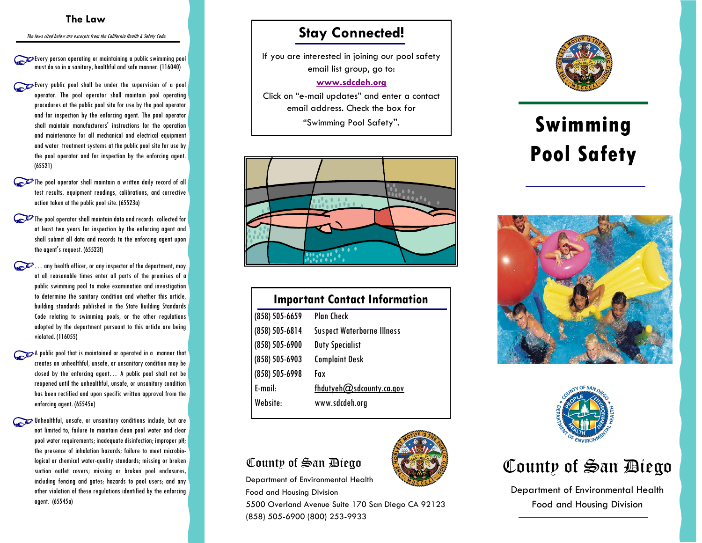#### **The Law**

The laws cited below are excerpts from the California Health & Safety Code.

Every person operating or maintaining a public swimming pool must do so in a sanitary, healthful and safe manner. (116040)

- Every public pool shall be under the supervision of a pool operator. The pool operator shall maintain pool operating procedures at the public pool site for use by the pool operator and for inspection by the enforcing agent. The pool operator shall maintain manufacturers' instructions for the operation and maintenance for all mechanical and electrical equipment and water treatment systems at the public pool site for use by the pool operator and for inspection by the enforcing agent. (65521)
- The pool operator shall maintain a written daily record of all test results, equipment readings, calibrations, and corrective action taken at the public pool site. (65523a)
- The pool operator shall maintain data and records collected for at least two years for inspection by the enforcing agent and shall submit all data and records to the enforcing agent upon the agent's request. (65523f)
- $\mathbb{C}$  ... any health officer, or any inspector of the department, may at all reasonable times enter all parts of the premises of a public swimming pool to make examination and investigation to determine the sanitary condition and whether this article, building standards published in the State Building Standards Code relating to swimming pools, or the other regulations adopted by the department pursuant to this article are being violated. (116055)
- A public pool that is maintained or operated in a manner that creates an unhealthful, unsafe, or unsanitary condition may be closed by the enforcing agent… A public pool shall not be reopened until the unhealthful, unsafe, or unsanitary condition has been rectified and upon specific written approval from the enforcing agent. (65545a)
- Unhealthful, unsafe, or unsanitary conditions include, but are not limited to, failure to maintain clean pool water and clear pool water requirements; inadequate disinfection; improper pH; the presence of inhalation hazards; failure to meet microbiological or chemical water-quality standards; missing or broken suction outlet covers; missing or broken pool enclosures, including fencing and gates; hazards to pool users; and any other violation of these regulations identified by the enforcing agent. (65545a)

#### **Stay Connected!**

If you are interested in joining our pool safety email list group, go to:

#### **[www.sdcdeh.org](http://www.sdcdeh.org)**

Click on "e-mail updates" and enter a contact email address. Check the box for "Swimming Pool Safety".



| <b>Important Contact Information</b> |  |  |
|--------------------------------------|--|--|
| <b>Plan Check</b>                    |  |  |
| <b>Suspect Waterborne Illness</b>    |  |  |
| <b>Duty Specialist</b>               |  |  |
| <b>Complaint Desk</b>                |  |  |
| Fax                                  |  |  |
| fhdutyeh $@$ sdcounty.ca.gov         |  |  |
| www.sdcdeh.org                       |  |  |
|                                      |  |  |

#### County of San Diego

Department of Environmental Health Food and Housing Division

5500 Overland Avenue Suite 170 San Diego CA 92123 (858) 505-6900 (800) 253-9933



# **Swimming Pool Safety**







Department of Environmental Health Food and Housing Division